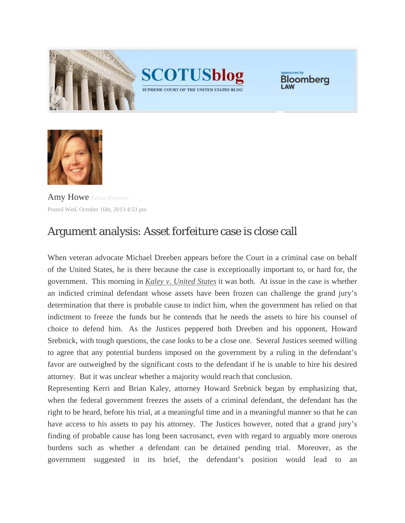



**Bloomberg I AW** 



Amy Howe *Editor/Reporter* Posted Wed, October 16th, 2013 4:53 pm

## Argument analysis: Asset forfeiture case is close call

When veteran advocate Michael Dreeben appears before the Court in a criminal case on behalf of the United States, he is there because the case is exceptionally important to, or hard for, the government. This morning in *Kaley v. United States* it was both. At issue in the case is whether an indicted criminal defendant whose assets have been frozen can challenge the grand jury's determination that there is probable cause to indict him, when the government has relied on that indictment to freeze the funds but he contends that he needs the assets to hire his counsel of choice to defend him. As the Justices peppered both Dreeben and his opponent, Howard Srebnick, with tough questions, the case looks to be a close one. Several Justices seemed willing to agree that any potential burdens imposed on the government by a ruling in the defendant's favor are outweighed by the significant costs to the defendant if he is unable to hire his desired attorney. But it was unclear whether a majority would reach that conclusion.

Representing Kerri and Brian Kaley, attorney Howard Srebnick began by emphasizing that, when the federal government freezes the assets of a criminal defendant, the defendant has the right to be heard, before his trial, at a meaningful time and in a meaningful manner so that he can have access to his assets to pay his attorney. The Justices however, noted that a grand jury's finding of probable cause has long been sacrosanct, even with regard to arguably more onerous burdens such as whether a defendant can be detained pending trial. Moreover, as the government suggested in its brief, the defendant's position would lead to an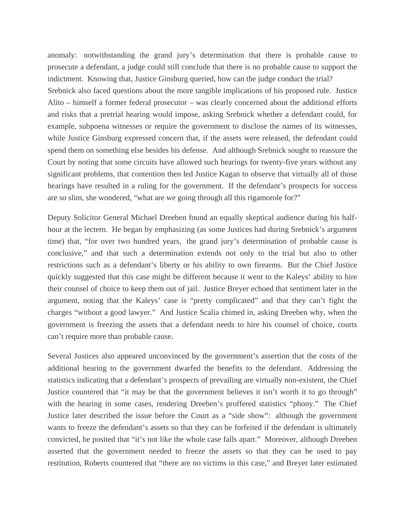anomaly: notwithstanding the grand jury's determination that there is probable cause to prosecute a defendant, a judge could still conclude that there is no probable cause to support the indictment. Knowing that, Justice Ginsburg queried, how can the judge conduct the trial? Srebnick also faced questions about the more tangible implications of his proposed rule. Justice Alito – himself a former federal prosecutor – was clearly concerned about the additional efforts and risks that a pretrial hearing would impose, asking Srebnick whether a defendant could, for example, subpoena witnesses or require the government to disclose the names of its witnesses, while Justice Ginsburg expressed concern that, if the assets were released, the defendant could spend them on something else besides his defense. And although Srebnick sought to reassure the Court by noting that some circuits have allowed such hearings for twenty-five years without any significant problems, that contention then led Justice Kagan to observe that virtually all of those hearings have resulted in a ruling for the government. If the defendant's prospects for success are so slim, she wondered, "what are we going through all this rigamorole for?"

Deputy Solicitor General Michael Dreeben found an equally skeptical audience during his halfhour at the lectern. He began by emphasizing (as some Justices had during Srebnick's argument time) that, "for over two hundred years, the grand jury's determination of probable cause is conclusive," and that such a determination extends not only to the trial but also to other restrictions such as a defendant's liberty or his ability to own firearms. But the Chief Justice quickly suggested that this case might be different because it went to the Kaleys' ability to hire their counsel of choice to keep them out of jail. Justice Breyer echoed that sentiment later in the argument, noting that the Kaleys' case is "pretty complicated" and that they can't fight the charges "without a good lawyer." And Justice Scalia chimed in, asking Dreeben why, when the government is freezing the assets that a defendant needs to hire his counsel of choice, courts can't require more than probable cause.

Several Justices also appeared unconvinced by the government's assertion that the costs of the additional hearing to the government dwarfed the benefits to the defendant. Addressing the statistics indicating that a defendant's prospects of prevailing are virtually non-existent, the Chief Justice countered that "it may be that the government believes it isn't worth it to go through" with the hearing in some cases, rendering Dreeben's proffered statistics "phony." The Chief Justice later described the issue before the Court as a "side show": although the government wants to freeze the defendant's assets so that they can be forfeited if the defendant is ultimately convicted, he posited that "it's not like the whole case falls apart." Moreover, although Dreeben asserted that the government needed to freeze the assets so that they can be used to pay restitution, Roberts countered that "there are no victims in this case," and Breyer later estimated